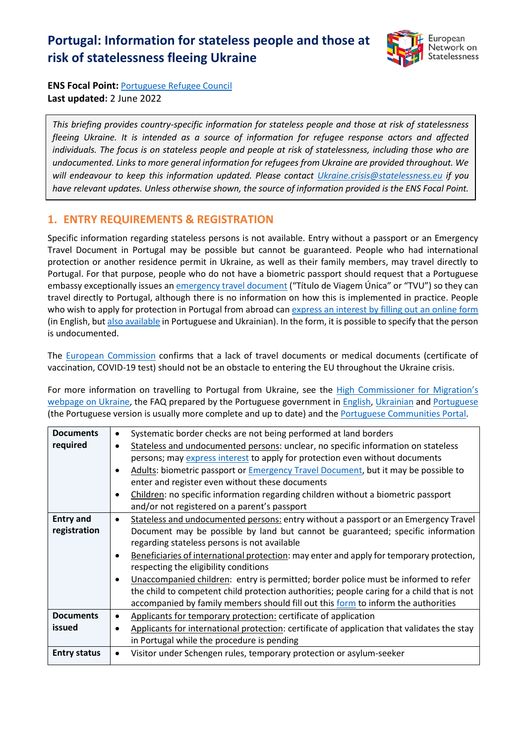# **Portugal: Information for stateless people and those at risk of statelessness fleeing Ukraine**



**ENS Focal Point:** [Portuguese Refugee Council](https://cpr.pt/) **Last updated:** 2 June 2022

*This briefing provides country-specific information for stateless people and those at risk of statelessness fleeing Ukraine. It is intended as a source of information for refugee response actors and affected individuals. The focus is on stateless people and people at risk of statelessness, including those who are undocumented. Links to more general information for refugees from Ukraine are provided throughout. We will endeavour to keep this information updated. Please contact [Ukraine.crisis@statelessness.eu](mailto:Ukraine.crisis@statelessness.eu) if you have relevant updates. Unless otherwise shown, the source of information provided is the ENS Focal Point.*

## **1. ENTRY REQUIREMENTS & REGISTRATION**

Specific information regarding stateless persons is not available. Entry without a passport or an Emergency Travel Document in Portugal may be possible but cannot be guaranteed. People who had international protection or another residence permit in Ukraine, as well as their family members, may travel directly to Portugal. For that purpose, people who do not have a biometric passport should request that a Portuguese embassy exceptionally issues a[n emergency travel document](portugalforukraine.org) ("Título de Viagem Única" or "TVU") so they can travel directly to Portugal, although there is no information on how this is implemented in practice. People who wish to apply for protection in Portugal from abroad ca[n express an interest by filling out an online](https://docs.google.com/forms/d/1AZrd_IIuZRIwmnO8wqBNWi1w6f2Crbpy-vTdgSIgUkA/viewform?ts=6222057e&edit_requested=true) form (in English, bu[t also available](https://portugalforukraine.gov.pt/en/faqs-en/#a1) in Portuguese and Ukrainian). In the form, it is possible to specify that the person is undocumented.

The [European Commission](https://ec.europa.eu/info/sites/default/files/information_for_people_fleeing_russias_invasion_of_ukraine_en.pdf) confirms that a lack of travel documents or medical documents (certificate of vaccination, COVID-19 test) should not be an obstacle to entering the EU throughout the Ukraine crisis.

For more information on travelling to Portugal from Ukraine, see the [High Commissioner for Migration](https://www.acm.gov.pt/-/sos-ucrania)'s [webpage on Ukraine,](https://www.acm.gov.pt/-/sos-ucrania) the FAQ prepared by the Portuguese government in [English,](https://portugalforukraine.gov.pt/en/faqs-en/#l1a) [Ukrainian](https://portugalforukraine.gov.pt/uk/%d0%bf%d0%be%d1%88%d0%b8%d1%80%d0%b5%d0%bd%d1%96-%d0%b7%d0%b0%d0%bf%d0%b8%d1%82%d0%b0%d0%bd%d0%bd%d1%8f%ef%bf%bc/) and [Portuguese](https://portugalforukraine.gov.pt/faqs-pt/) (the Portuguese version is usually more complete and up to date) and th[e Portuguese Communities Portal.](https://portaldiplomatico.mne.gov.pt/servicos/servicos-informativos/ucrania)

| <b>Documents</b>    | $\bullet$ | Systematic border checks are not being performed at land borders                            |  |
|---------------------|-----------|---------------------------------------------------------------------------------------------|--|
| required            | $\bullet$ | Stateless and undocumented persons: unclear, no specific information on stateless           |  |
|                     |           | persons; may express interest to apply for protection even without documents                |  |
|                     |           | Adults: biometric passport or Emergency Travel Document, but it may be possible to          |  |
|                     |           | enter and register even without these documents                                             |  |
|                     | $\bullet$ | Children: no specific information regarding children without a biometric passport           |  |
|                     |           | and/or not registered on a parent's passport                                                |  |
| <b>Entry and</b>    | $\bullet$ | Stateless and undocumented persons: entry without a passport or an Emergency Travel         |  |
| registration        |           | Document may be possible by land but cannot be guaranteed; specific information             |  |
|                     |           | regarding stateless persons is not available                                                |  |
|                     |           | Beneficiaries of international protection: may enter and apply for temporary protection,    |  |
|                     |           | respecting the eligibility conditions                                                       |  |
|                     | $\bullet$ | Unaccompanied children: entry is permitted; border police must be informed to refer         |  |
|                     |           | the child to competent child protection authorities; people caring for a child that is not  |  |
|                     |           | accompanied by family members should fill out this form to inform the authorities           |  |
| <b>Documents</b>    | ٠         | Applicants for temporary protection: certificate of application                             |  |
| issued              |           | Applicants for international protection: certificate of application that validates the stay |  |
|                     |           | in Portugal while the procedure is pending                                                  |  |
| <b>Entry status</b> | $\bullet$ | Visitor under Schengen rules, temporary protection or asylum-seeker                         |  |
|                     |           |                                                                                             |  |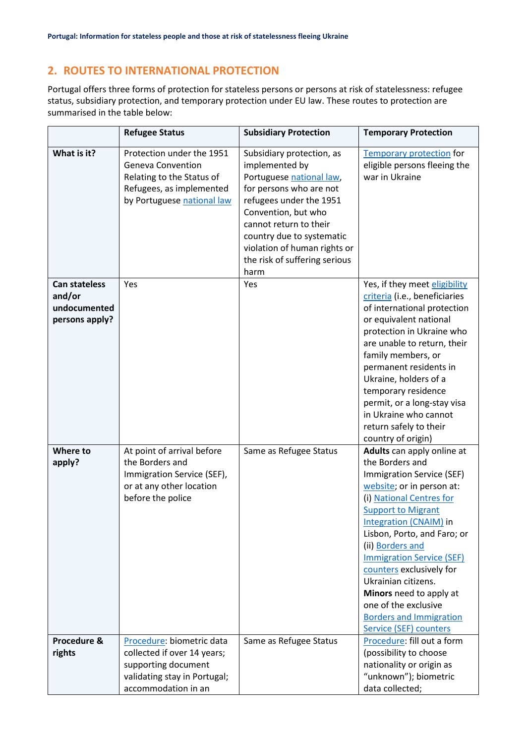# **2. ROUTES TO INTERNATIONAL PROTECTION**

Portugal offers three forms of protection for stateless persons or persons at risk of statelessness: refugee status, subsidiary protection, and temporary protection under EU law. These routes to protection are summarised in the table below:

|                                                                  | <b>Refugee Status</b>                                                                                                                        | <b>Subsidiary Protection</b>                                                                                                                                                                                                                                                         | <b>Temporary Protection</b>                                                                                                                                                                                                                                                                                                                                                                                                                         |
|------------------------------------------------------------------|----------------------------------------------------------------------------------------------------------------------------------------------|--------------------------------------------------------------------------------------------------------------------------------------------------------------------------------------------------------------------------------------------------------------------------------------|-----------------------------------------------------------------------------------------------------------------------------------------------------------------------------------------------------------------------------------------------------------------------------------------------------------------------------------------------------------------------------------------------------------------------------------------------------|
| What is it?                                                      | Protection under the 1951<br><b>Geneva Convention</b><br>Relating to the Status of<br>Refugees, as implemented<br>by Portuguese national law | Subsidiary protection, as<br>implemented by<br>Portuguese national law,<br>for persons who are not<br>refugees under the 1951<br>Convention, but who<br>cannot return to their<br>country due to systematic<br>violation of human rights or<br>the risk of suffering serious<br>harm | <b>Temporary protection for</b><br>eligible persons fleeing the<br>war in Ukraine                                                                                                                                                                                                                                                                                                                                                                   |
| <b>Can stateless</b><br>and/or<br>undocumented<br>persons apply? | Yes                                                                                                                                          | Yes                                                                                                                                                                                                                                                                                  | Yes, if they meet eligibility<br>criteria (i.e., beneficiaries<br>of international protection<br>or equivalent national<br>protection in Ukraine who<br>are unable to return, their<br>family members, or<br>permanent residents in<br>Ukraine, holders of a<br>temporary residence<br>permit, or a long-stay visa<br>in Ukraine who cannot<br>return safely to their<br>country of origin)                                                         |
| Where to<br>apply?                                               | At point of arrival before<br>the Borders and<br>Immigration Service (SEF),<br>or at any other location<br>before the police                 | Same as Refugee Status                                                                                                                                                                                                                                                               | Adults can apply online at<br>the Borders and<br>Immigration Service (SEF)<br>website; or in person at:<br>(i) National Centres for<br><b>Support to Migrant</b><br>Integration (CNAIM) in<br>Lisbon, Porto, and Faro; or<br>(ii) Borders and<br><b>Immigration Service (SEF)</b><br>counters exclusively for<br>Ukrainian citizens.<br>Minors need to apply at<br>one of the exclusive<br><b>Borders and Immigration</b><br>Service (SEF) counters |
| Procedure &<br>rights                                            | Procedure: biometric data<br>collected if over 14 years;<br>supporting document<br>validating stay in Portugal;<br>accommodation in an       | Same as Refugee Status                                                                                                                                                                                                                                                               | Procedure: fill out a form<br>(possibility to choose<br>nationality or origin as<br>"unknown"); biometric<br>data collected;                                                                                                                                                                                                                                                                                                                        |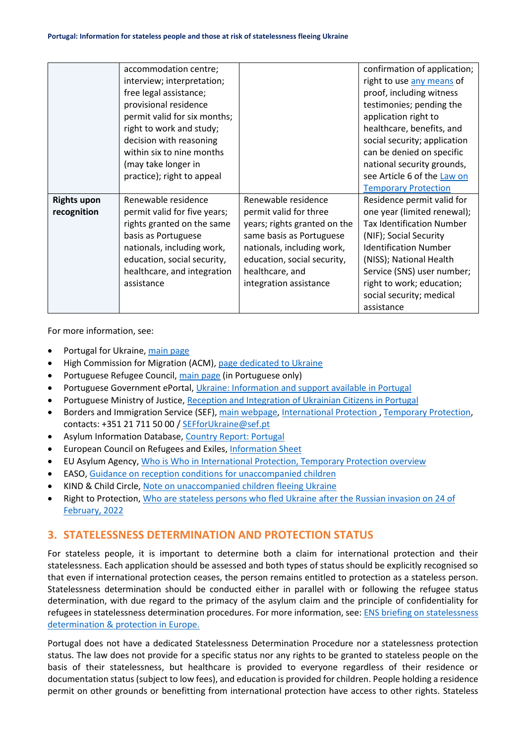|                    | accommodation centre;        |                              | confirmation of application;     |
|--------------------|------------------------------|------------------------------|----------------------------------|
|                    | interview; interpretation;   |                              | right to use any means of        |
|                    | free legal assistance;       |                              | proof, including witness         |
|                    | provisional residence        |                              | testimonies; pending the         |
|                    | permit valid for six months; |                              | application right to             |
|                    | right to work and study;     |                              | healthcare, benefits, and        |
|                    | decision with reasoning      |                              | social security; application     |
|                    | within six to nine months    |                              | can be denied on specific        |
|                    | (may take longer in          |                              | national security grounds,       |
|                    | practice); right to appeal   |                              | see Article 6 of the Law on      |
|                    |                              |                              | <b>Temporary Protection</b>      |
| <b>Rights upon</b> | Renewable residence          | Renewable residence          | Residence permit valid for       |
| recognition        | permit valid for five years; | permit valid for three       | one year (limited renewal);      |
|                    | rights granted on the same   | years; rights granted on the | <b>Tax Identification Number</b> |
|                    | basis as Portuguese          | same basis as Portuguese     | (NIF); Social Security           |
|                    | nationals, including work,   | nationals, including work,   | <b>Identification Number</b>     |
|                    | education, social security,  | education, social security,  | (NISS); National Health          |
|                    | healthcare, and integration  | healthcare, and              | Service (SNS) user number;       |
|                    | assistance                   | integration assistance       | right to work; education;        |
|                    |                              |                              | social security; medical         |
|                    |                              |                              | assistance                       |

For more information, see:

- Portugal for Ukraine, [main page](https://portugalforukraine.gov.pt/en/pagina-inicial-english/)
- High Commission for Migration (ACM), [page dedicated to Ukraine](https://www.acm.gov.pt/-/sos-ucrania)
- Portuguese Refugee Council, [main page](https://cpr.pt/) (in Portuguese only)
- Portuguese Government ePortal, [Ukraine: Information and support available in Portugal](https://eportugal.gov.pt/en/migrantes-viver-e-trabalhar-em-portugal/ucrania-informacoes-e-apoios-disponiveis-em-portugal)
- Portuguese Ministry of Justice, [Reception and Integration of Ukrainian Citizens in Portugal](https://justica.gov.pt/en-gb/Servicos/Special-measures-for-Ukraine/-Reception-and-integration-of-Ukrainian-citizens-in-Portugal)
- Borders and Immigration Service (SEF), [main webpage,](https://www.sef.pt/pt/Pages/Homepage.aspx) International Protection, [Temporary Protection,](https://sefforukraine.sef.pt/) contacts: +351 21 711 50 00 / [SEFforUkraine@sef.pt](mailto:SEFforUkraine@sef.pt)
- Asylum Information Database, [Country Report: Portugal](https://asylumineurope.org/wp-content/uploads/2022/05/AIDA-PT_2021update.pdf)
- European Council on Refugees and Exiles, [Information Sheet](https://ecre.org/wp-content/uploads/2022/03/Information-Sheet-%E2%80%93-Access-to-territory-asylum-procedures-and-reception-conditions-for-Ukrainian-nationals-in-European-countries.pdf)
- EU Asylum Agency, [Who is Who in International Protection, Temporary Protection overview](https://whoiswho.euaa.europa.eu/temporary-protection)
- EASO, [Guidance on reception conditions for unaccompanied children](https://euaa.europa.eu/publications/guidance-reception-conditions-unaccompanied-children)
- KIND & Child Circle, [Note on unaccompanied children fleeing Ukraine](https://www.childcircle.eu/blog-3-1/unaccompanied-children-fleeing-ukraine-briefing-note-on-responses-within-the-eu)
- Right to Protection, [Who are stateless persons who fled Ukraine after the Russian invasion on 24 of](file:///C:/Users/ines_carreirinho/Downloads/Who%20are%20stateless%20persons%20who%20fled%20Ukraine%20after%20the%20Russian%20invasion%20on%2024%20of%20February,%202022)  [February, 2022](file:///C:/Users/ines_carreirinho/Downloads/Who%20are%20stateless%20persons%20who%20fled%20Ukraine%20after%20the%20Russian%20invasion%20on%2024%20of%20February,%202022)

## **3. STATELESSNESS DETERMINATION AND PROTECTION STATUS**

For stateless people, it is important to determine both a claim for international protection and their statelessness. Each application should be assessed and both types of status should be explicitly recognised so that even if international protection ceases, the person remains entitled to protection as a stateless person. Statelessness determination should be conducted either in parallel with or following the refugee status determination, with due regard to the primacy of the asylum claim and the principle of confidentiality for refugees in statelessness determination procedures. For more information, see: ENS briefing on statelessness [determination & protection in Europe.](https://index.statelessness.eu/sites/default/files/ENS-Statelessness_determination_and_protection_in_Europe-Sep_2021.pdf)

Portugal does not have a dedicated Statelessness Determination Procedure nor a statelessness protection status. The law does not provide for a specific status nor any rights to be granted to stateless people on the basis of their statelessness, but healthcare is provided to everyone regardless of their residence or documentation status (subject to low fees), and education is provided for children. People holding a residence permit on other grounds or benefitting from international protection have access to other rights. Stateless